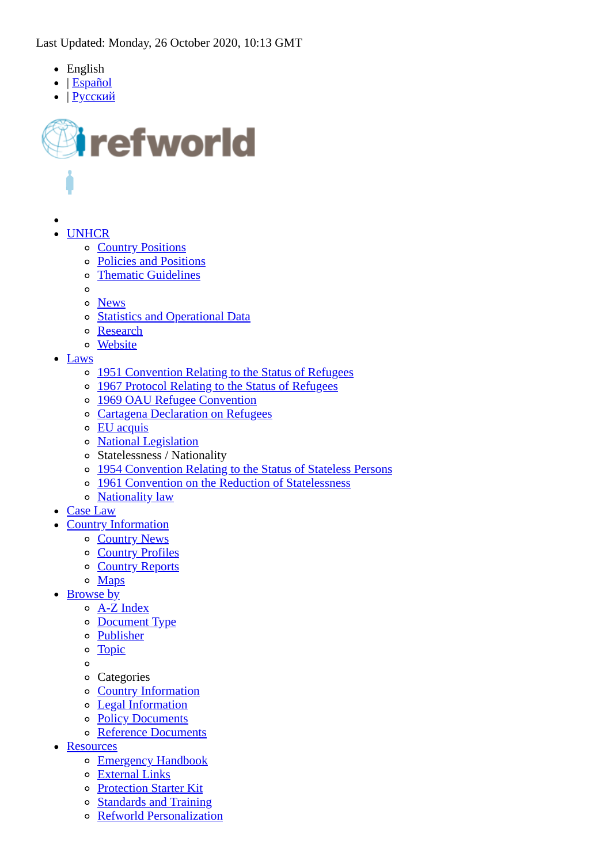- English
- | [Español](https://www.refworld.org.es/)
- | [Русский](https://www.refworld.org.ru/)



- - UNHCR [Country Positions](https://www.refworld.org/publisher,UNHCR,COUNTRYPOS,,,0.html)
		- [Policies and Positions](https://www.refworld.org/publisher,UNHCR,POSITION,,,0.html)
		- [Thematic Guidelines](https://www.refworld.org/publisher,UNHCR,THEMGUIDE,,,0.html)
		- $\circ$
		- [News](https://www.unhcr.org/news.html)
		- **[Statistics and Operational Data](https://www.unhcr.org/figures-at-a-glance.html)**  $\circ$
		- [Research](https://www.refworld.org/publisher,UNHCR,RESEARCH,,,0.html)
		- **[Website](https://www.unhcr.org/)**  $\circ$
- Laws
	- o [1951 Convention Relating to the Status of Refugees](https://www.refworld.org/docid/3be01b964.html)
	- [1967 Protocol Relating to the Status of Refugees](https://www.refworld.org/docid/3ae6b3ae4.html)
	- [1969 OAU Refugee Convention](https://www.refworld.org/docid/3ae6b36018.html)
	- [Cartagena Declaration on Refugees](https://www.refworld.org/docid/3ae6b36ec.html)
	- [EU acquis](https://www.refworld.org/publisher,COUNCIL,REGLEGISLATION,,,,0.html)
	- [National Legislation](https://www.refworld.org/publisher/NATLEGBOD.html)
	- Statelessness / Nationality
	- [1954 Convention Relating to the Status of Stateless Persons](https://www.refworld.org/docid/3ae6b3840.html)  $\Omega$
	- [1961 Convention on the Reduction of Statelessness](https://www.refworld.org/docid/3ae6b39620.html)  $\circ$
	- o [Nationality law](https://www.refworld.org/topic,50ffbce524d,50ffbce525c,,0,,LEGISLATION,.html)
- [Case Law](https://www.refworld.org/cases.html)
- **Country Information** 
	- [Country News](https://www.refworld.org/type,COUNTRYNEWS,,,,,0.html)
	- o [Country Profiles](https://www.refworld.org/type,COUNTRYPROF,,,,,0.html)
	- o [Country Reports](https://www.refworld.org/type,COUNTRYREP,,,,,0.html)
	- o [Maps](https://www.refworld.org/type,MAP,,,,,0.html)
- Browse by
	- [A-Z Index](https://www.refworld.org/azindex.html)
	- o [Document Type](https://www.refworld.org/type.html)
	- [Publisher](https://www.refworld.org/publisher.html)
	- [Topic](https://www.refworld.org/topic.html)  $\circ$
	- $\Omega$
	- Categories
	- [Country Information](https://www.refworld.org/category,COI,,,,,0.html)
	- [Legal Information](https://www.refworld.org/category,LEGAL,,,,,0.html)
	- [Policy Documents](https://www.refworld.org/category,POLICY,,,,,0.html)
	- [Reference Documents](https://www.refworld.org/category,REFERENCE,,,,,0.html)
- Resources
	- o [Emergency Handbook](https://emergency.unhcr.org/)
	- [External Links](https://www.refworld.org/links.html)
	- [Protection Starter Kit](https://www.refworld.org/protection_kit.html)
	- [Standards and Training](https://www.refworld.org/training.html)
	- [Refworld Personalization](https://www.refworld.org/personalization.html)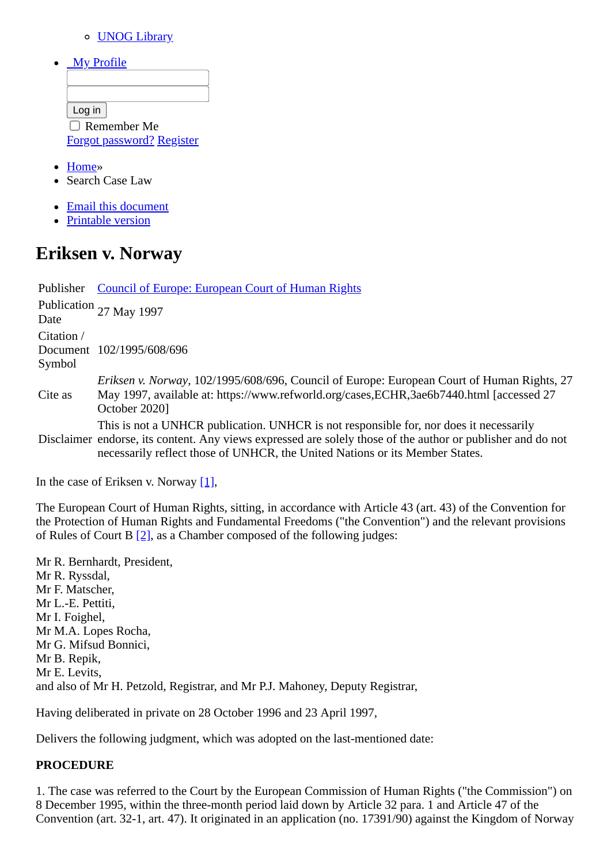#### [UNOG Library](http://www.unog.ch/library)

|  | Mv Profile |  |
|--|------------|--|

| Log in                           |  |
|----------------------------------|--|
| $\Box$ Remember Me               |  |
| <b>Forgot password? Register</b> |  |

- [Home](https://www.refworld.org/cgi-bin/texis/vtx/rwmain)»
- Search Case Law
- [Email this document](https://www.refworld.org/cgi-bin/texis/vtx/rwmain?page=emailthis&id=3ae6b7440)
- [Printable version](https://www.refworld.org/cgi-bin/texis/vtx/rwmain?page=printdoc&docid=3ae6b7440)

# **Eriksen v. Norway**

Publisher [Council of Europe: European Court of Human Rights](https://www.refworld.org/publisher/ECHR.html) Publication Date 27 May 1997 Citation / Document 102/1995/608/696 Symbol Cite as *Eriksen v. Norway*, 102/1995/608/696, Council of Europe: European Court of Human Rights, 27 May 1997, available at: https://www.refworld.org/cases,ECHR,3ae6b7440.html [accessed 27 October 2020] Disclaimer endorse, its content. Any views expressed are solely those of the author or publisher and do not This is not a UNHCR publication. UNHCR is not responsible for, nor does it necessarily

necessarily reflect those of UNHCR, the United Nations or its Member States.

In the case of Eriksen v. Norway  $[1]$ ,

The European Court of Human Rights, sitting, in accordance with Article 43 (art. 43) of the Convention for the Protection of Human Rights and Fundamental Freedoms ("the Convention") and the relevant provisions of Rules of Court B [\[2\],](#page-20-1) as a Chamber composed of the following judges:

Mr R. Bernhardt, President, Mr R. Ryssdal, Mr F. Matscher, Mr L.-E. Pettiti, Mr I. Foighel, Mr M.A. Lopes Rocha, Mr G. Mifsud Bonnici, Mr B. Repik, Mr E. Levits, and also of Mr H. Petzold, Registrar, and Mr P.J. Mahoney, Deputy Registrar,

Having deliberated in private on 28 October 1996 and 23 April 1997,

Delivers the following judgment, which was adopted on the last-mentioned date:

#### **PROCEDURE**

1. The case was referred to the Court by the European Commission of Human Rights ("the Commission") on 8 December 1995, within the three-month period laid down by Article 32 para. 1 and Article 47 of the Convention (art. 32-1, art. 47). It originated in an application (no. 17391/90) against the Kingdom of Norway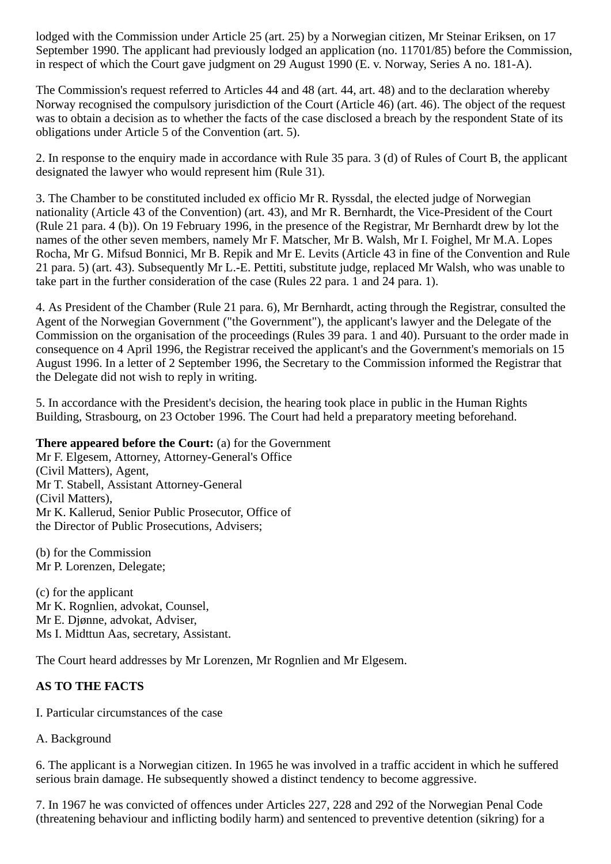lodged with the Commission under Article 25 (art. 25) by a Norwegian citizen, Mr Steinar Eriksen, on 17 September 1990. The applicant had previously lodged an application (no. 11701/85) before the Commission, in respect of which the Court gave judgment on 29 August 1990 (E. v. Norway, Series A no. 181-A).

The Commission's request referred to Articles 44 and 48 (art. 44, art. 48) and to the declaration whereby Norway recognised the compulsory jurisdiction of the Court (Article 46) (art. 46). The object of the request was to obtain a decision as to whether the facts of the case disclosed a breach by the respondent State of its obligations under Article 5 of the Convention (art. 5).

2. In response to the enquiry made in accordance with Rule 35 para. 3 (d) of Rules of Court B, the applicant designated the lawyer who would represent him (Rule 31).

3. The Chamber to be constituted included ex officio Mr R. Ryssdal, the elected judge of Norwegian nationality (Article 43 of the Convention) (art. 43), and Mr R. Bernhardt, the Vice-President of the Court (Rule 21 para. 4 (b)). On 19 February 1996, in the presence of the Registrar, Mr Bernhardt drew by lot the names of the other seven members, namely Mr F. Matscher, Mr B. Walsh, Mr I. Foighel, Mr M.A. Lopes Rocha, Mr G. Mifsud Bonnici, Mr B. Repik and Mr E. Levits (Article 43 in fine of the Convention and Rule 21 para. 5) (art. 43). Subsequently Mr L.-E. Pettiti, substitute judge, replaced Mr Walsh, who was unable to take part in the further consideration of the case (Rules 22 para. 1 and 24 para. 1).

4. As President of the Chamber (Rule 21 para. 6), Mr Bernhardt, acting through the Registrar, consulted the Agent of the Norwegian Government ("the Government"), the applicant's lawyer and the Delegate of the Commission on the organisation of the proceedings (Rules 39 para. 1 and 40). Pursuant to the order made in consequence on 4 April 1996, the Registrar received the applicant's and the Government's memorials on 15 August 1996. In a letter of 2 September 1996, the Secretary to the Commission informed the Registrar that the Delegate did not wish to reply in writing.

5. In accordance with the President's decision, the hearing took place in public in the Human Rights Building, Strasbourg, on 23 October 1996. The Court had held a preparatory meeting beforehand.

**There appeared before the Court:** (a) for the Government

Mr F. Elgesem, Attorney, Attorney-General's Office (Civil Matters), Agent, Mr T. Stabell, Assistant Attorney-General (Civil Matters), Mr K. Kallerud, Senior Public Prosecutor, Office of the Director of Public Prosecutions, Advisers;

(b) for the Commission Mr P. Lorenzen, Delegate;

(c) for the applicant Mr K. Rognlien, advokat, Counsel, Mr E. Djønne, advokat, Adviser, Ms I. Midttun Aas, secretary, Assistant.

The Court heard addresses by Mr Lorenzen, Mr Rognlien and Mr Elgesem.

#### **AS TO THE FACTS**

I. Particular circumstances of the case

A. Background

6. The applicant is a Norwegian citizen. In 1965 he was involved in a traffic accident in which he suffered serious brain damage. He subsequently showed a distinct tendency to become aggressive.

7. In 1967 he was convicted of offences under Articles 227, 228 and 292 of the Norwegian Penal Code (threatening behaviour and inflicting bodily harm) and sentenced to preventive detention (sikring) for a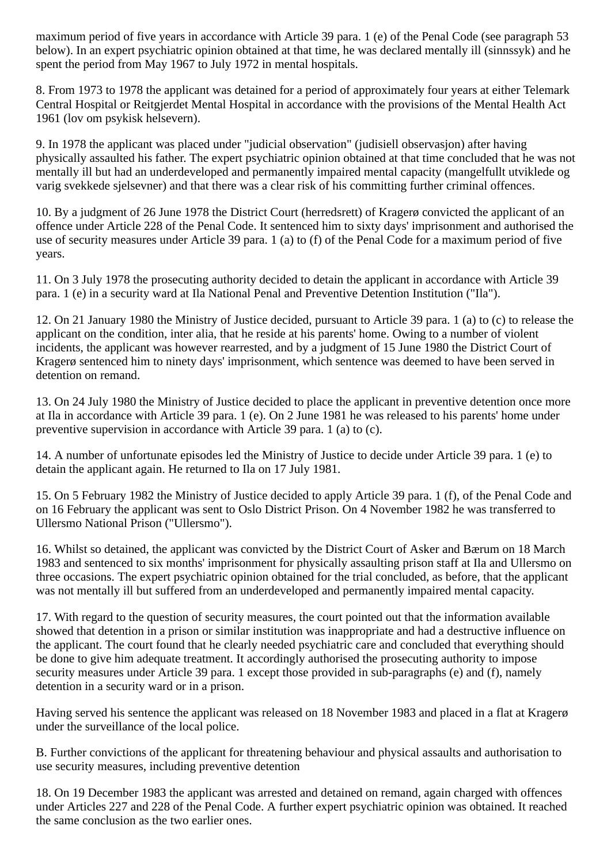maximum period of five years in accordance with Article 39 para. 1 (e) of the Penal Code (see paragraph 53 below). In an expert psychiatric opinion obtained at that time, he was declared mentally ill (sinnssyk) and he spent the period from May 1967 to July 1972 in mental hospitals.

8. From 1973 to 1978 the applicant was detained for a period of approximately four years at either Telemark Central Hospital or Reitgjerdet Mental Hospital in accordance with the provisions of the Mental Health Act 1961 (lov om psykisk helsevern).

9. In 1978 the applicant was placed under "judicial observation" (judisiell observasjon) after having physically assaulted his father. The expert psychiatric opinion obtained at that time concluded that he was not mentally ill but had an underdeveloped and permanently impaired mental capacity (mangelfullt utviklede og varig svekkede sjelsevner) and that there was a clear risk of his committing further criminal offences.

10. By a judgment of 26 June 1978 the District Court (herredsrett) of Kragerø convicted the applicant of an offence under Article 228 of the Penal Code. It sentenced him to sixty days' imprisonment and authorised the use of security measures under Article 39 para. 1 (a) to (f) of the Penal Code for a maximum period of five years.

11. On 3 July 1978 the prosecuting authority decided to detain the applicant in accordance with Article 39 para. 1 (e) in a security ward at Ila National Penal and Preventive Detention Institution ("Ila").

12. On 21 January 1980 the Ministry of Justice decided, pursuant to Article 39 para. 1 (a) to (c) to release the applicant on the condition, inter alia, that he reside at his parents' home. Owing to a number of violent incidents, the applicant was however rearrested, and by a judgment of 15 June 1980 the District Court of Kragerø sentenced him to ninety days' imprisonment, which sentence was deemed to have been served in detention on remand.

13. On 24 July 1980 the Ministry of Justice decided to place the applicant in preventive detention once more at Ila in accordance with Article 39 para. 1 (e). On 2 June 1981 he was released to his parents' home under preventive supervision in accordance with Article 39 para. 1 (a) to (c).

14. A number of unfortunate episodes led the Ministry of Justice to decide under Article 39 para. 1 (e) to detain the applicant again. He returned to Ila on 17 July 1981.

15. On 5 February 1982 the Ministry of Justice decided to apply Article 39 para. 1 (f), of the Penal Code and on 16 February the applicant was sent to Oslo District Prison. On 4 November 1982 he was transferred to Ullersmo National Prison ("Ullersmo").

16. Whilst so detained, the applicant was convicted by the District Court of Asker and Bærum on 18 March 1983 and sentenced to six months' imprisonment for physically assaulting prison staff at Ila and Ullersmo on three occasions. The expert psychiatric opinion obtained for the trial concluded, as before, that the applicant was not mentally ill but suffered from an underdeveloped and permanently impaired mental capacity.

17. With regard to the question of security measures, the court pointed out that the information available showed that detention in a prison or similar institution was inappropriate and had a destructive influence on the applicant. The court found that he clearly needed psychiatric care and concluded that everything should be done to give him adequate treatment. It accordingly authorised the prosecuting authority to impose security measures under Article 39 para. 1 except those provided in sub-paragraphs (e) and (f), namely detention in a security ward or in a prison.

Having served his sentence the applicant was released on 18 November 1983 and placed in a flat at Kragerø under the surveillance of the local police.

B. Further convictions of the applicant for threatening behaviour and physical assaults and authorisation to use security measures, including preventive detention

18. On 19 December 1983 the applicant was arrested and detained on remand, again charged with offences under Articles 227 and 228 of the Penal Code. A further expert psychiatric opinion was obtained. It reached the same conclusion as the two earlier ones.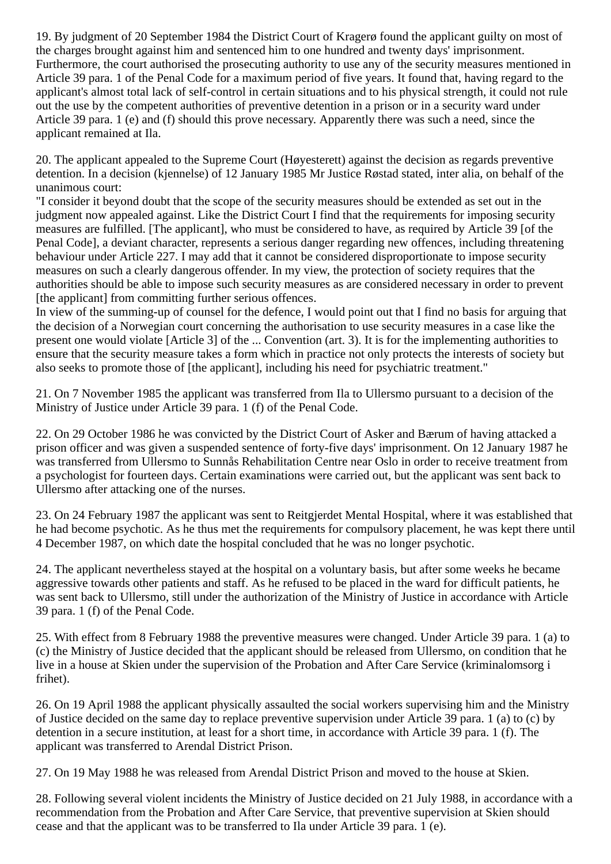19. By judgment of 20 September 1984 the District Court of Kragerø found the applicant guilty on most of the charges brought against him and sentenced him to one hundred and twenty days' imprisonment. Furthermore, the court authorised the prosecuting authority to use any of the security measures mentioned in Article 39 para. 1 of the Penal Code for a maximum period of five years. It found that, having regard to the applicant's almost total lack of self-control in certain situations and to his physical strength, it could not rule out the use by the competent authorities of preventive detention in a prison or in a security ward under Article 39 para. 1 (e) and (f) should this prove necessary. Apparently there was such a need, since the applicant remained at Ila.

20. The applicant appealed to the Supreme Court (Høyesterett) against the decision as regards preventive detention. In a decision (kjennelse) of 12 January 1985 Mr Justice Røstad stated, inter alia, on behalf of the unanimous court:

"I consider it beyond doubt that the scope of the security measures should be extended as set out in the judgment now appealed against. Like the District Court I find that the requirements for imposing security measures are fulfilled. [The applicant], who must be considered to have, as required by Article 39 [of the Penal Code], a deviant character, represents a serious danger regarding new offences, including threatening behaviour under Article 227. I may add that it cannot be considered disproportionate to impose security measures on such a clearly dangerous offender. In my view, the protection of society requires that the authorities should be able to impose such security measures as are considered necessary in order to prevent [the applicant] from committing further serious offences.

In view of the summing-up of counsel for the defence, I would point out that I find no basis for arguing that the decision of a Norwegian court concerning the authorisation to use security measures in a case like the present one would violate [Article 3] of the ... Convention (art. 3). It is for the implementing authorities to ensure that the security measure takes a form which in practice not only protects the interests of society but also seeks to promote those of [the applicant], including his need for psychiatric treatment."

21. On 7 November 1985 the applicant was transferred from Ila to Ullersmo pursuant to a decision of the Ministry of Justice under Article 39 para. 1 (f) of the Penal Code.

22. On 29 October 1986 he was convicted by the District Court of Asker and Bærum of having attacked a prison officer and was given a suspended sentence of forty-five days' imprisonment. On 12 January 1987 he was transferred from Ullersmo to Sunnås Rehabilitation Centre near Oslo in order to receive treatment from a psychologist for fourteen days. Certain examinations were carried out, but the applicant was sent back to Ullersmo after attacking one of the nurses.

23. On 24 February 1987 the applicant was sent to Reitgjerdet Mental Hospital, where it was established that he had become psychotic. As he thus met the requirements for compulsory placement, he was kept there until 4 December 1987, on which date the hospital concluded that he was no longer psychotic.

24. The applicant nevertheless stayed at the hospital on a voluntary basis, but after some weeks he became aggressive towards other patients and staff. As he refused to be placed in the ward for difficult patients, he was sent back to Ullersmo, still under the authorization of the Ministry of Justice in accordance with Article 39 para. 1 (f) of the Penal Code.

25. With effect from 8 February 1988 the preventive measures were changed. Under Article 39 para. 1 (a) to (c) the Ministry of Justice decided that the applicant should be released from Ullersmo, on condition that he live in a house at Skien under the supervision of the Probation and After Care Service (kriminalomsorg i frihet).

26. On 19 April 1988 the applicant physically assaulted the social workers supervising him and the Ministry of Justice decided on the same day to replace preventive supervision under Article 39 para. 1 (a) to (c) by detention in a secure institution, at least for a short time, in accordance with Article 39 para. 1 (f). The applicant was transferred to Arendal District Prison.

27. On 19 May 1988 he was released from Arendal District Prison and moved to the house at Skien.

28. Following several violent incidents the Ministry of Justice decided on 21 July 1988, in accordance with a recommendation from the Probation and After Care Service, that preventive supervision at Skien should cease and that the applicant was to be transferred to Ila under Article 39 para. 1 (e).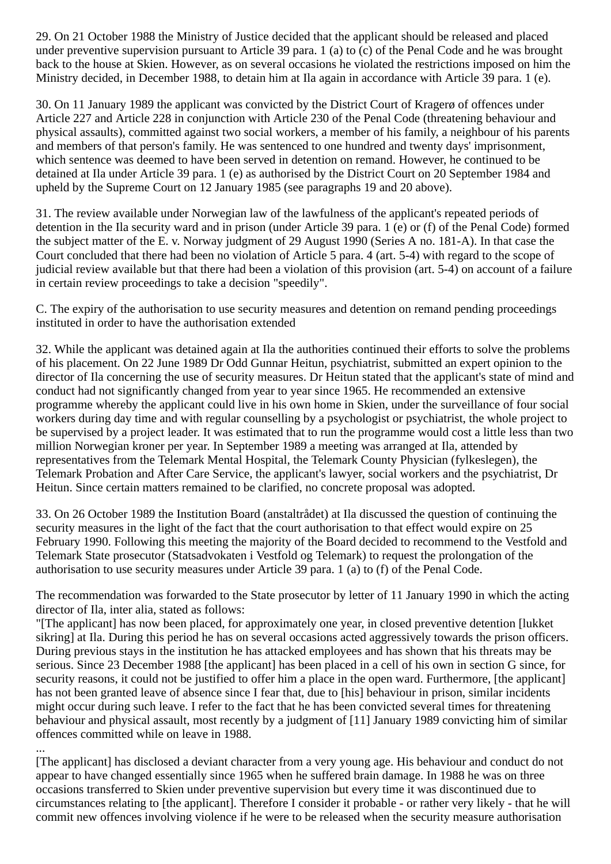29. On 21 October 1988 the Ministry of Justice decided that the applicant should be released and placed under preventive supervision pursuant to Article 39 para. 1 (a) to (c) of the Penal Code and he was brought back to the house at Skien. However, as on several occasions he violated the restrictions imposed on him the Ministry decided, in December 1988, to detain him at Ila again in accordance with Article 39 para. 1 (e).

30. On 11 January 1989 the applicant was convicted by the District Court of Kragerø of offences under Article 227 and Article 228 in conjunction with Article 230 of the Penal Code (threatening behaviour and physical assaults), committed against two social workers, a member of his family, a neighbour of his parents and members of that person's family. He was sentenced to one hundred and twenty days' imprisonment, which sentence was deemed to have been served in detention on remand. However, he continued to be detained at Ila under Article 39 para. 1 (e) as authorised by the District Court on 20 September 1984 and upheld by the Supreme Court on 12 January 1985 (see paragraphs 19 and 20 above).

31. The review available under Norwegian law of the lawfulness of the applicant's repeated periods of detention in the Ila security ward and in prison (under Article 39 para. 1 (e) or (f) of the Penal Code) formed the subject matter of the E. v. Norway judgment of 29 August 1990 (Series A no. 181-A). In that case the Court concluded that there had been no violation of Article 5 para. 4 (art. 5-4) with regard to the scope of judicial review available but that there had been a violation of this provision (art. 5-4) on account of a failure in certain review proceedings to take a decision "speedily".

C. The expiry of the authorisation to use security measures and detention on remand pending proceedings instituted in order to have the authorisation extended

32. While the applicant was detained again at Ila the authorities continued their efforts to solve the problems of his placement. On 22 June 1989 Dr Odd Gunnar Heitun, psychiatrist, submitted an expert opinion to the director of Ila concerning the use of security measures. Dr Heitun stated that the applicant's state of mind and conduct had not significantly changed from year to year since 1965. He recommended an extensive programme whereby the applicant could live in his own home in Skien, under the surveillance of four social workers during day time and with regular counselling by a psychologist or psychiatrist, the whole project to be supervised by a project leader. It was estimated that to run the programme would cost a little less than two million Norwegian kroner per year. In September 1989 a meeting was arranged at Ila, attended by representatives from the Telemark Mental Hospital, the Telemark County Physician (fylkeslegen), the Telemark Probation and After Care Service, the applicant's lawyer, social workers and the psychiatrist, Dr Heitun. Since certain matters remained to be clarified, no concrete proposal was adopted.

33. On 26 October 1989 the Institution Board (anstaltrådet) at Ila discussed the question of continuing the security measures in the light of the fact that the court authorisation to that effect would expire on 25 February 1990. Following this meeting the majority of the Board decided to recommend to the Vestfold and Telemark State prosecutor (Statsadvokaten i Vestfold og Telemark) to request the prolongation of the authorisation to use security measures under Article 39 para. 1 (a) to (f) of the Penal Code.

The recommendation was forwarded to the State prosecutor by letter of 11 January 1990 in which the acting director of Ila, inter alia, stated as follows:

"[The applicant] has now been placed, for approximately one year, in closed preventive detention [lukket sikring] at Ila. During this period he has on several occasions acted aggressively towards the prison officers. During previous stays in the institution he has attacked employees and has shown that his threats may be serious. Since 23 December 1988 [the applicant] has been placed in a cell of his own in section G since, for security reasons, it could not be justified to offer him a place in the open ward. Furthermore, [the applicant] has not been granted leave of absence since I fear that, due to [his] behaviour in prison, similar incidents might occur during such leave. I refer to the fact that he has been convicted several times for threatening behaviour and physical assault, most recently by a judgment of [11] January 1989 convicting him of similar offences committed while on leave in 1988.

...

[The applicant] has disclosed a deviant character from a very young age. His behaviour and conduct do not appear to have changed essentially since 1965 when he suffered brain damage. In 1988 he was on three occasions transferred to Skien under preventive supervision but every time it was discontinued due to circumstances relating to [the applicant]. Therefore I consider it probable - or rather very likely - that he will commit new offences involving violence if he were to be released when the security measure authorisation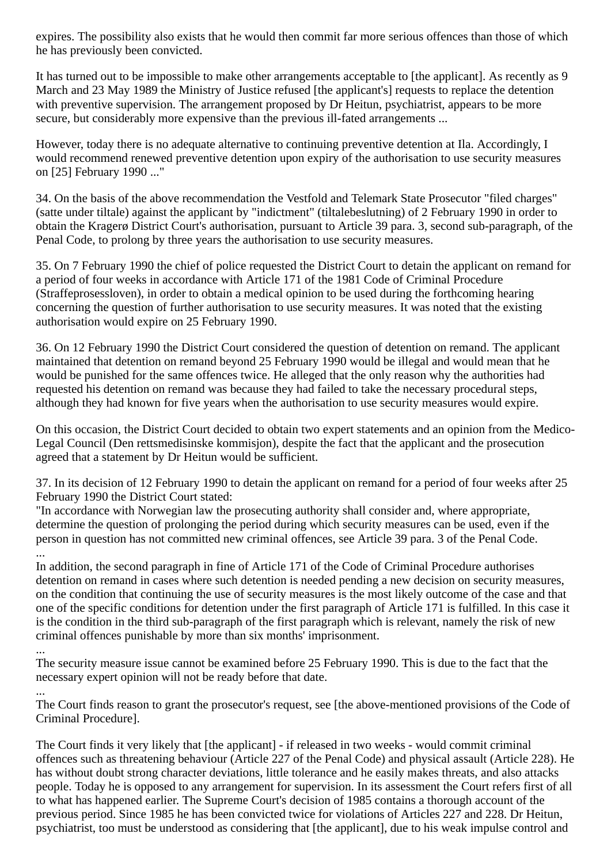expires. The possibility also exists that he would then commit far more serious offences than those of which he has previously been convicted.

It has turned out to be impossible to make other arrangements acceptable to [the applicant]. As recently as 9 March and 23 May 1989 the Ministry of Justice refused [the applicant's] requests to replace the detention with preventive supervision. The arrangement proposed by Dr Heitun, psychiatrist, appears to be more secure, but considerably more expensive than the previous ill-fated arrangements ...

However, today there is no adequate alternative to continuing preventive detention at Ila. Accordingly, I would recommend renewed preventive detention upon expiry of the authorisation to use security measures on [25] February 1990 ..."

34. On the basis of the above recommendation the Vestfold and Telemark State Prosecutor "filed charges" (satte under tiltale) against the applicant by "indictment" (tiltalebeslutning) of 2 February 1990 in order to obtain the Kragerø District Court's authorisation, pursuant to Article 39 para. 3, second sub-paragraph, of the Penal Code, to prolong by three years the authorisation to use security measures.

35. On 7 February 1990 the chief of police requested the District Court to detain the applicant on remand for a period of four weeks in accordance with Article 171 of the 1981 Code of Criminal Procedure (Straffeprosessloven), in order to obtain a medical opinion to be used during the forthcoming hearing concerning the question of further authorisation to use security measures. It was noted that the existing authorisation would expire on 25 February 1990.

36. On 12 February 1990 the District Court considered the question of detention on remand. The applicant maintained that detention on remand beyond 25 February 1990 would be illegal and would mean that he would be punished for the same offences twice. He alleged that the only reason why the authorities had requested his detention on remand was because they had failed to take the necessary procedural steps, although they had known for five years when the authorisation to use security measures would expire.

On this occasion, the District Court decided to obtain two expert statements and an opinion from the Medico-Legal Council (Den rettsmedisinske kommisjon), despite the fact that the applicant and the prosecution agreed that a statement by Dr Heitun would be sufficient.

37. In its decision of 12 February 1990 to detain the applicant on remand for a period of four weeks after 25 February 1990 the District Court stated:

"In accordance with Norwegian law the prosecuting authority shall consider and, where appropriate, determine the question of prolonging the period during which security measures can be used, even if the person in question has not committed new criminal offences, see Article 39 para. 3 of the Penal Code. ...

In addition, the second paragraph in fine of Article 171 of the Code of Criminal Procedure authorises detention on remand in cases where such detention is needed pending a new decision on security measures, on the condition that continuing the use of security measures is the most likely outcome of the case and that one of the specific conditions for detention under the first paragraph of Article 171 is fulfilled. In this case it is the condition in the third sub-paragraph of the first paragraph which is relevant, namely the risk of new criminal offences punishable by more than six months' imprisonment.

...

...

The security measure issue cannot be examined before 25 February 1990. This is due to the fact that the necessary expert opinion will not be ready before that date.

The Court finds reason to grant the prosecutor's request, see [the above-mentioned provisions of the Code of Criminal Procedure].

The Court finds it very likely that [the applicant] - if released in two weeks - would commit criminal offences such as threatening behaviour (Article 227 of the Penal Code) and physical assault (Article 228). He has without doubt strong character deviations, little tolerance and he easily makes threats, and also attacks people. Today he is opposed to any arrangement for supervision. In its assessment the Court refers first of all to what has happened earlier. The Supreme Court's decision of 1985 contains a thorough account of the previous period. Since 1985 he has been convicted twice for violations of Articles 227 and 228. Dr Heitun, psychiatrist, too must be understood as considering that [the applicant], due to his weak impulse control and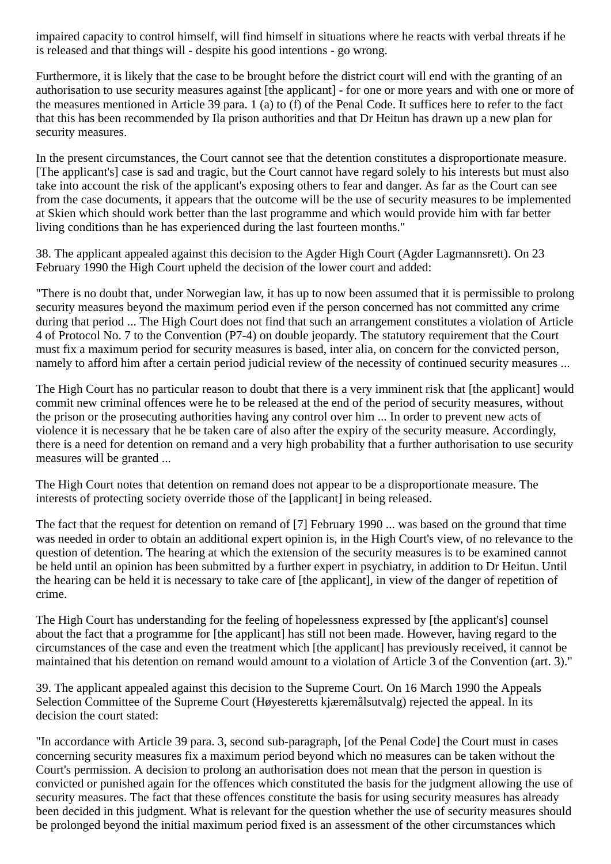impaired capacity to control himself, will find himself in situations where he reacts with verbal threats if he is released and that things will - despite his good intentions - go wrong.

Furthermore, it is likely that the case to be brought before the district court will end with the granting of an authorisation to use security measures against [the applicant] - for one or more years and with one or more of the measures mentioned in Article 39 para. 1 (a) to (f) of the Penal Code. It suffices here to refer to the fact that this has been recommended by Ila prison authorities and that Dr Heitun has drawn up a new plan for security measures.

In the present circumstances, the Court cannot see that the detention constitutes a disproportionate measure. [The applicant's] case is sad and tragic, but the Court cannot have regard solely to his interests but must also take into account the risk of the applicant's exposing others to fear and danger. As far as the Court can see from the case documents, it appears that the outcome will be the use of security measures to be implemented at Skien which should work better than the last programme and which would provide him with far better living conditions than he has experienced during the last fourteen months."

38. The applicant appealed against this decision to the Agder High Court (Agder Lagmannsrett). On 23 February 1990 the High Court upheld the decision of the lower court and added:

"There is no doubt that, under Norwegian law, it has up to now been assumed that it is permissible to prolong security measures beyond the maximum period even if the person concerned has not committed any crime during that period ... The High Court does not find that such an arrangement constitutes a violation of Article 4 of Protocol No. 7 to the Convention (P7-4) on double jeopardy. The statutory requirement that the Court must fix a maximum period for security measures is based, inter alia, on concern for the convicted person, namely to afford him after a certain period judicial review of the necessity of continued security measures ...

The High Court has no particular reason to doubt that there is a very imminent risk that [the applicant] would commit new criminal offences were he to be released at the end of the period of security measures, without the prison or the prosecuting authorities having any control over him ... In order to prevent new acts of violence it is necessary that he be taken care of also after the expiry of the security measure. Accordingly, there is a need for detention on remand and a very high probability that a further authorisation to use security measures will be granted ...

The High Court notes that detention on remand does not appear to be a disproportionate measure. The interests of protecting society override those of the [applicant] in being released.

The fact that the request for detention on remand of [7] February 1990 ... was based on the ground that time was needed in order to obtain an additional expert opinion is, in the High Court's view, of no relevance to the question of detention. The hearing at which the extension of the security measures is to be examined cannot be held until an opinion has been submitted by a further expert in psychiatry, in addition to Dr Heitun. Until the hearing can be held it is necessary to take care of [the applicant], in view of the danger of repetition of crime.

The High Court has understanding for the feeling of hopelessness expressed by [the applicant's] counsel about the fact that a programme for [the applicant] has still not been made. However, having regard to the circumstances of the case and even the treatment which [the applicant] has previously received, it cannot be maintained that his detention on remand would amount to a violation of Article 3 of the Convention (art. 3)."

39. The applicant appealed against this decision to the Supreme Court. On 16 March 1990 the Appeals Selection Committee of the Supreme Court (Høyesteretts kjæremålsutvalg) rejected the appeal. In its decision the court stated:

"In accordance with Article 39 para. 3, second sub-paragraph, [of the Penal Code] the Court must in cases concerning security measures fix a maximum period beyond which no measures can be taken without the Court's permission. A decision to prolong an authorisation does not mean that the person in question is convicted or punished again for the offences which constituted the basis for the judgment allowing the use of security measures. The fact that these offences constitute the basis for using security measures has already been decided in this judgment. What is relevant for the question whether the use of security measures should be prolonged beyond the initial maximum period fixed is an assessment of the other circumstances which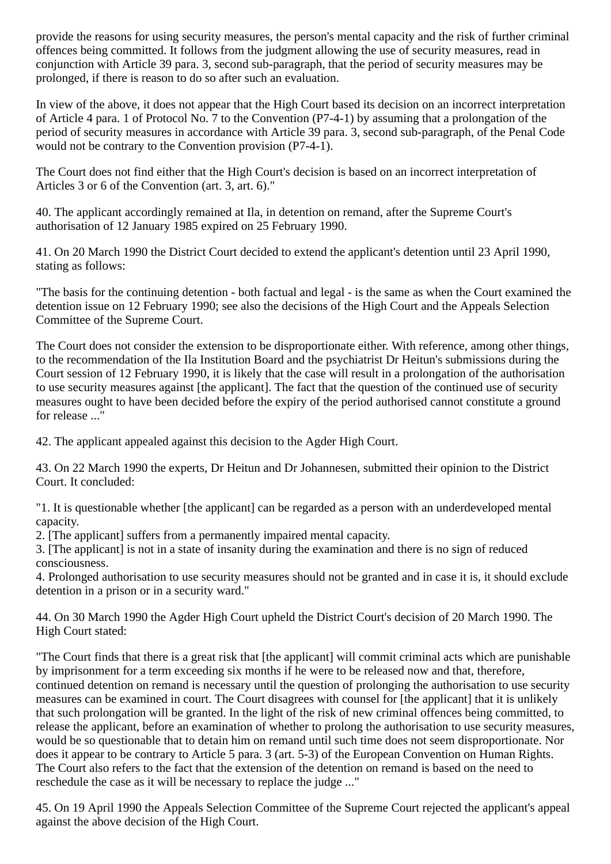provide the reasons for using security measures, the person's mental capacity and the risk of further criminal offences being committed. It follows from the judgment allowing the use of security measures, read in conjunction with Article 39 para. 3, second sub-paragraph, that the period of security measures may be prolonged, if there is reason to do so after such an evaluation.

In view of the above, it does not appear that the High Court based its decision on an incorrect interpretation of Article 4 para. 1 of Protocol No. 7 to the Convention (P7-4-1) by assuming that a prolongation of the period of security measures in accordance with Article 39 para. 3, second sub-paragraph, of the Penal Code would not be contrary to the Convention provision (P7-4-1).

The Court does not find either that the High Court's decision is based on an incorrect interpretation of Articles 3 or 6 of the Convention (art. 3, art. 6)."

40. The applicant accordingly remained at Ila, in detention on remand, after the Supreme Court's authorisation of 12 January 1985 expired on 25 February 1990.

41. On 20 March 1990 the District Court decided to extend the applicant's detention until 23 April 1990, stating as follows:

"The basis for the continuing detention - both factual and legal - is the same as when the Court examined the detention issue on 12 February 1990; see also the decisions of the High Court and the Appeals Selection Committee of the Supreme Court.

The Court does not consider the extension to be disproportionate either. With reference, among other things, to the recommendation of the Ila Institution Board and the psychiatrist Dr Heitun's submissions during the Court session of 12 February 1990, it is likely that the case will result in a prolongation of the authorisation to use security measures against [the applicant]. The fact that the question of the continued use of security measures ought to have been decided before the expiry of the period authorised cannot constitute a ground for release ..."

42. The applicant appealed against this decision to the Agder High Court.

43. On 22 March 1990 the experts, Dr Heitun and Dr Johannesen, submitted their opinion to the District Court. It concluded:

"1. It is questionable whether [the applicant] can be regarded as a person with an underdeveloped mental capacity.

2. [The applicant] suffers from a permanently impaired mental capacity.

3. [The applicant] is not in a state of insanity during the examination and there is no sign of reduced consciousness.

4. Prolonged authorisation to use security measures should not be granted and in case it is, it should exclude detention in a prison or in a security ward."

44. On 30 March 1990 the Agder High Court upheld the District Court's decision of 20 March 1990. The High Court stated:

"The Court finds that there is a great risk that [the applicant] will commit criminal acts which are punishable by imprisonment for a term exceeding six months if he were to be released now and that, therefore, continued detention on remand is necessary until the question of prolonging the authorisation to use security measures can be examined in court. The Court disagrees with counsel for [the applicant] that it is unlikely that such prolongation will be granted. In the light of the risk of new criminal offences being committed, to release the applicant, before an examination of whether to prolong the authorisation to use security measures, would be so questionable that to detain him on remand until such time does not seem disproportionate. Nor does it appear to be contrary to Article 5 para. 3 (art. 5-3) of the European Convention on Human Rights. The Court also refers to the fact that the extension of the detention on remand is based on the need to reschedule the case as it will be necessary to replace the judge ..."

45. On 19 April 1990 the Appeals Selection Committee of the Supreme Court rejected the applicant's appeal against the above decision of the High Court.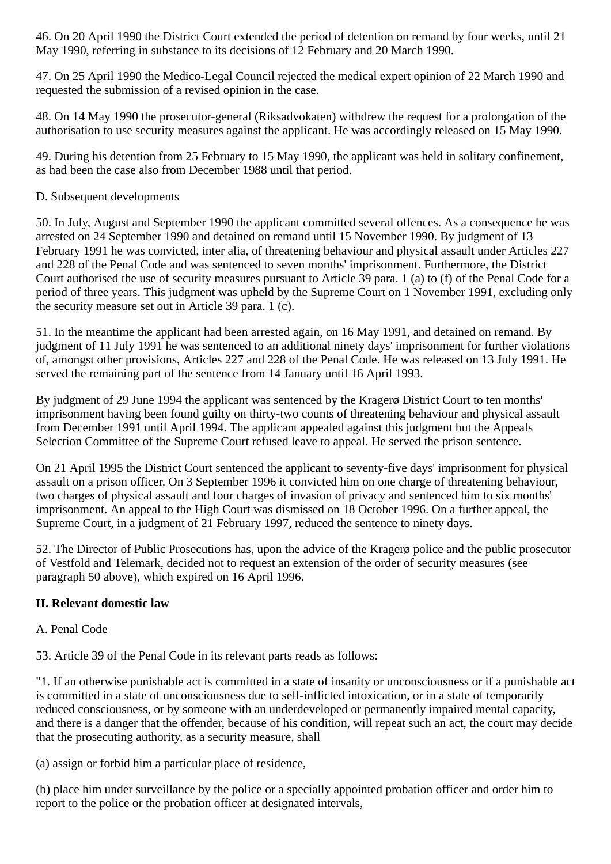46. On 20 April 1990 the District Court extended the period of detention on remand by four weeks, until 21 May 1990, referring in substance to its decisions of 12 February and 20 March 1990.

47. On 25 April 1990 the Medico-Legal Council rejected the medical expert opinion of 22 March 1990 and requested the submission of a revised opinion in the case.

48. On 14 May 1990 the prosecutor-general (Riksadvokaten) withdrew the request for a prolongation of the authorisation to use security measures against the applicant. He was accordingly released on 15 May 1990.

49. During his detention from 25 February to 15 May 1990, the applicant was held in solitary confinement, as had been the case also from December 1988 until that period.

#### D. Subsequent developments

50. In July, August and September 1990 the applicant committed several offences. As a consequence he was arrested on 24 September 1990 and detained on remand until 15 November 1990. By judgment of 13 February 1991 he was convicted, inter alia, of threatening behaviour and physical assault under Articles 227 and 228 of the Penal Code and was sentenced to seven months' imprisonment. Furthermore, the District Court authorised the use of security measures pursuant to Article 39 para. 1 (a) to (f) of the Penal Code for a period of three years. This judgment was upheld by the Supreme Court on 1 November 1991, excluding only the security measure set out in Article 39 para. 1 (c).

51. In the meantime the applicant had been arrested again, on 16 May 1991, and detained on remand. By judgment of 11 July 1991 he was sentenced to an additional ninety days' imprisonment for further violations of, amongst other provisions, Articles 227 and 228 of the Penal Code. He was released on 13 July 1991. He served the remaining part of the sentence from 14 January until 16 April 1993.

By judgment of 29 June 1994 the applicant was sentenced by the Kragerø District Court to ten months' imprisonment having been found guilty on thirty-two counts of threatening behaviour and physical assault from December 1991 until April 1994. The applicant appealed against this judgment but the Appeals Selection Committee of the Supreme Court refused leave to appeal. He served the prison sentence.

On 21 April 1995 the District Court sentenced the applicant to seventy-five days' imprisonment for physical assault on a prison officer. On 3 September 1996 it convicted him on one charge of threatening behaviour, two charges of physical assault and four charges of invasion of privacy and sentenced him to six months' imprisonment. An appeal to the High Court was dismissed on 18 October 1996. On a further appeal, the Supreme Court, in a judgment of 21 February 1997, reduced the sentence to ninety days.

52. The Director of Public Prosecutions has, upon the advice of the Kragerø police and the public prosecutor of Vestfold and Telemark, decided not to request an extension of the order of security measures (see paragraph 50 above), which expired on 16 April 1996.

## **II. Relevant domestic law**

## A. Penal Code

53. Article 39 of the Penal Code in its relevant parts reads as follows:

"1. If an otherwise punishable act is committed in a state of insanity or unconsciousness or if a punishable act is committed in a state of unconsciousness due to self-inflicted intoxication, or in a state of temporarily reduced consciousness, or by someone with an underdeveloped or permanently impaired mental capacity, and there is a danger that the offender, because of his condition, will repeat such an act, the court may decide that the prosecuting authority, as a security measure, shall

(a) assign or forbid him a particular place of residence,

(b) place him under surveillance by the police or a specially appointed probation officer and order him to report to the police or the probation officer at designated intervals,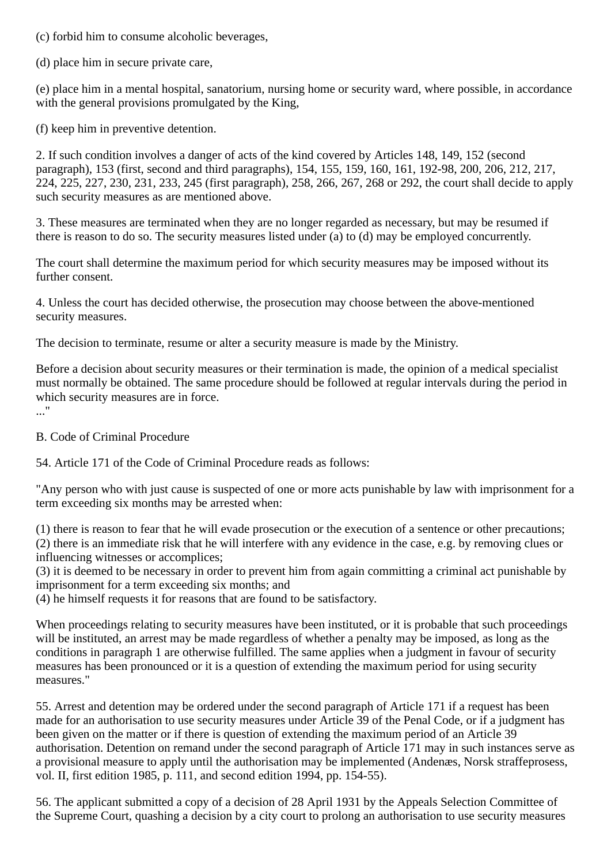(c) forbid him to consume alcoholic beverages,

(d) place him in secure private care,

(e) place him in a mental hospital, sanatorium, nursing home or security ward, where possible, in accordance with the general provisions promulgated by the King,

(f) keep him in preventive detention.

2. If such condition involves a danger of acts of the kind covered by Articles 148, 149, 152 (second paragraph), 153 (first, second and third paragraphs), 154, 155, 159, 160, 161, 192-98, 200, 206, 212, 217, 224, 225, 227, 230, 231, 233, 245 (first paragraph), 258, 266, 267, 268 or 292, the court shall decide to apply such security measures as are mentioned above.

3. These measures are terminated when they are no longer regarded as necessary, but may be resumed if there is reason to do so. The security measures listed under (a) to (d) may be employed concurrently.

The court shall determine the maximum period for which security measures may be imposed without its further consent.

4. Unless the court has decided otherwise, the prosecution may choose between the above-mentioned security measures.

The decision to terminate, resume or alter a security measure is made by the Ministry.

Before a decision about security measures or their termination is made, the opinion of a medical specialist must normally be obtained. The same procedure should be followed at regular intervals during the period in which security measures are in force.

..."

B. Code of Criminal Procedure

54. Article 171 of the Code of Criminal Procedure reads as follows:

"Any person who with just cause is suspected of one or more acts punishable by law with imprisonment for a term exceeding six months may be arrested when:

(1) there is reason to fear that he will evade prosecution or the execution of a sentence or other precautions; (2) there is an immediate risk that he will interfere with any evidence in the case, e.g. by removing clues or influencing witnesses or accomplices;

(3) it is deemed to be necessary in order to prevent him from again committing a criminal act punishable by imprisonment for a term exceeding six months; and

(4) he himself requests it for reasons that are found to be satisfactory.

When proceedings relating to security measures have been instituted, or it is probable that such proceedings will be instituted, an arrest may be made regardless of whether a penalty may be imposed, as long as the conditions in paragraph 1 are otherwise fulfilled. The same applies when a judgment in favour of security measures has been pronounced or it is a question of extending the maximum period for using security measures."

55. Arrest and detention may be ordered under the second paragraph of Article 171 if a request has been made for an authorisation to use security measures under Article 39 of the Penal Code, or if a judgment has been given on the matter or if there is question of extending the maximum period of an Article 39 authorisation. Detention on remand under the second paragraph of Article 171 may in such instances serve as a provisional measure to apply until the authorisation may be implemented (Andenæs, Norsk straffeprosess, vol. II, first edition 1985, p. 111, and second edition 1994, pp. 154-55).

56. The applicant submitted a copy of a decision of 28 April 1931 by the Appeals Selection Committee of the Supreme Court, quashing a decision by a city court to prolong an authorisation to use security measures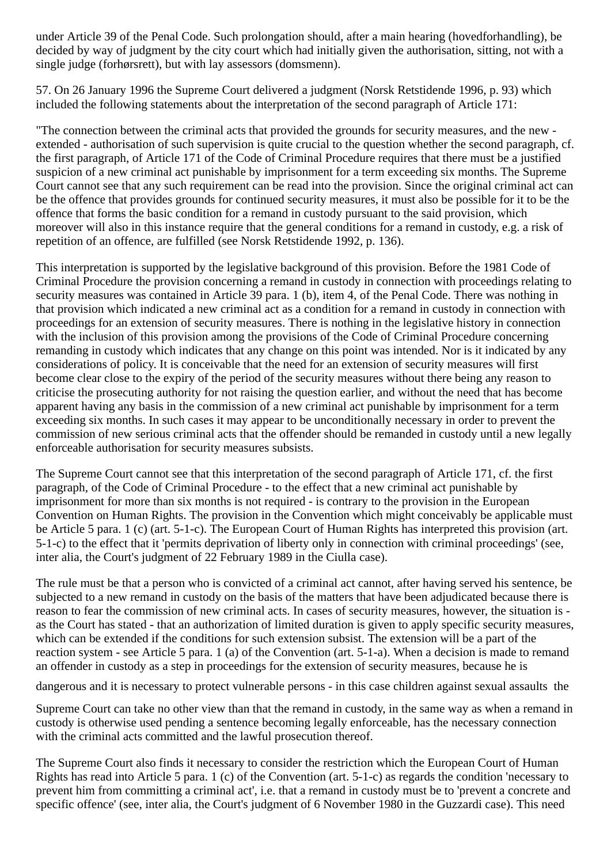under Article 39 of the Penal Code. Such prolongation should, after a main hearing (hovedforhandling), be decided by way of judgment by the city court which had initially given the authorisation, sitting, not with a single judge (forhørsrett), but with lay assessors (domsmenn).

57. On 26 January 1996 the Supreme Court delivered a judgment (Norsk Retstidende 1996, p. 93) which included the following statements about the interpretation of the second paragraph of Article 171:

"The connection between the criminal acts that provided the grounds for security measures, and the new extended - authorisation of such supervision is quite crucial to the question whether the second paragraph, cf. the first paragraph, of Article 171 of the Code of Criminal Procedure requires that there must be a justified suspicion of a new criminal act punishable by imprisonment for a term exceeding six months. The Supreme Court cannot see that any such requirement can be read into the provision. Since the original criminal act can be the offence that provides grounds for continued security measures, it must also be possible for it to be the offence that forms the basic condition for a remand in custody pursuant to the said provision, which moreover will also in this instance require that the general conditions for a remand in custody, e.g. a risk of repetition of an offence, are fulfilled (see Norsk Retstidende 1992, p. 136).

This interpretation is supported by the legislative background of this provision. Before the 1981 Code of Criminal Procedure the provision concerning a remand in custody in connection with proceedings relating to security measures was contained in Article 39 para. 1 (b), item 4, of the Penal Code. There was nothing in that provision which indicated a new criminal act as a condition for a remand in custody in connection with proceedings for an extension of security measures. There is nothing in the legislative history in connection with the inclusion of this provision among the provisions of the Code of Criminal Procedure concerning remanding in custody which indicates that any change on this point was intended. Nor is it indicated by any considerations of policy. It is conceivable that the need for an extension of security measures will first become clear close to the expiry of the period of the security measures without there being any reason to criticise the prosecuting authority for not raising the question earlier, and without the need that has become apparent having any basis in the commission of a new criminal act punishable by imprisonment for a term exceeding six months. In such cases it may appear to be unconditionally necessary in order to prevent the commission of new serious criminal acts that the offender should be remanded in custody until a new legally enforceable authorisation for security measures subsists.

The Supreme Court cannot see that this interpretation of the second paragraph of Article 171, cf. the first paragraph, of the Code of Criminal Procedure - to the effect that a new criminal act punishable by imprisonment for more than six months is not required - is contrary to the provision in the European Convention on Human Rights. The provision in the Convention which might conceivably be applicable must be Article 5 para. 1 (c) (art. 5-1-c). The European Court of Human Rights has interpreted this provision (art. 5-1-c) to the effect that it 'permits deprivation of liberty only in connection with criminal proceedings' (see, inter alia, the Court's judgment of 22 February 1989 in the Ciulla case).

The rule must be that a person who is convicted of a criminal act cannot, after having served his sentence, be subjected to a new remand in custody on the basis of the matters that have been adjudicated because there is reason to fear the commission of new criminal acts. In cases of security measures, however, the situation is as the Court has stated - that an authorization of limited duration is given to apply specific security measures, which can be extended if the conditions for such extension subsist. The extension will be a part of the reaction system - see Article 5 para. 1 (a) of the Convention (art. 5-1-a). When a decision is made to remand an offender in custody as a step in proceedings for the extension of security measures, because he is

dangerous and it is necessary to protect vulnerable persons - in this case children against sexual assaults the

Supreme Court can take no other view than that the remand in custody, in the same way as when a remand in custody is otherwise used pending a sentence becoming legally enforceable, has the necessary connection with the criminal acts committed and the lawful prosecution thereof.

The Supreme Court also finds it necessary to consider the restriction which the European Court of Human Rights has read into Article 5 para. 1 (c) of the Convention (art. 5-1-c) as regards the condition 'necessary to prevent him from committing a criminal act', i.e. that a remand in custody must be to 'prevent a concrete and specific offence' (see, inter alia, the Court's judgment of 6 November 1980 in the Guzzardi case). This need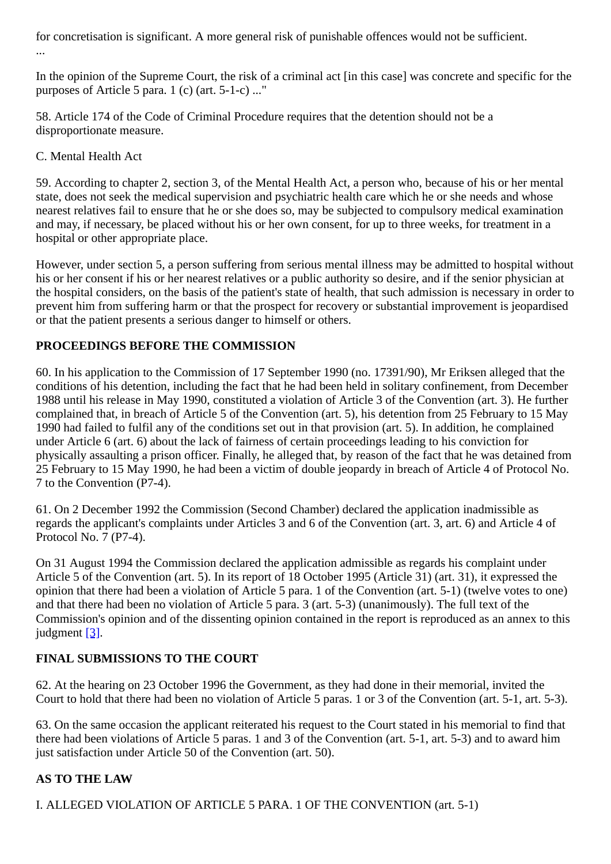for concretisation is significant. A more general risk of punishable offences would not be sufficient. ...

In the opinion of the Supreme Court, the risk of a criminal act [in this case] was concrete and specific for the purposes of Article 5 para. 1 (c) (art. 5-1-c) ..."

58. Article 174 of the Code of Criminal Procedure requires that the detention should not be a disproportionate measure.

#### C. Mental Health Act

59. According to chapter 2, section 3, of the Mental Health Act, a person who, because of his or her mental state, does not seek the medical supervision and psychiatric health care which he or she needs and whose nearest relatives fail to ensure that he or she does so, may be subjected to compulsory medical examination and may, if necessary, be placed without his or her own consent, for up to three weeks, for treatment in a hospital or other appropriate place.

However, under section 5, a person suffering from serious mental illness may be admitted to hospital without his or her consent if his or her nearest relatives or a public authority so desire, and if the senior physician at the hospital considers, on the basis of the patient's state of health, that such admission is necessary in order to prevent him from suffering harm or that the prospect for recovery or substantial improvement is jeopardised or that the patient presents a serious danger to himself or others.

#### **PROCEEDINGS BEFORE THE COMMISSION**

60. In his application to the Commission of 17 September 1990 (no. 17391/90), Mr Eriksen alleged that the conditions of his detention, including the fact that he had been held in solitary confinement, from December 1988 until his release in May 1990, constituted a violation of Article 3 of the Convention (art. 3). He further complained that, in breach of Article 5 of the Convention (art. 5), his detention from 25 February to 15 May 1990 had failed to fulfil any of the conditions set out in that provision (art. 5). In addition, he complained under Article 6 (art. 6) about the lack of fairness of certain proceedings leading to his conviction for physically assaulting a prison officer. Finally, he alleged that, by reason of the fact that he was detained from 25 February to 15 May 1990, he had been a victim of double jeopardy in breach of Article 4 of Protocol No. 7 to the Convention (P7-4).

61. On 2 December 1992 the Commission (Second Chamber) declared the application inadmissible as regards the applicant's complaints under Articles 3 and 6 of the Convention (art. 3, art. 6) and Article 4 of Protocol No. 7 (P7-4).

On 31 August 1994 the Commission declared the application admissible as regards his complaint under Article 5 of the Convention (art. 5). In its report of 18 October 1995 (Article 31) (art. 31), it expressed the opinion that there had been a violation of Article 5 para. 1 of the Convention (art. 5-1) (twelve votes to one) and that there had been no violation of Article 5 para. 3 (art. 5-3) (unanimously). The full text of the Commission's opinion and of the dissenting opinion contained in the report is reproduced as an annex to this judgment [\[3\]](#page-20-2).

## **FINAL SUBMISSIONS TO THE COURT**

62. At the hearing on 23 October 1996 the Government, as they had done in their memorial, invited the Court to hold that there had been no violation of Article 5 paras. 1 or 3 of the Convention (art. 5-1, art. 5-3).

63. On the same occasion the applicant reiterated his request to the Court stated in his memorial to find that there had been violations of Article 5 paras. 1 and 3 of the Convention (art. 5-1, art. 5-3) and to award him just satisfaction under Article 50 of the Convention (art. 50).

## **AS TO THE LAW**

I. ALLEGED VIOLATION OF ARTICLE 5 PARA. 1 OF THE CONVENTION (art. 5-1)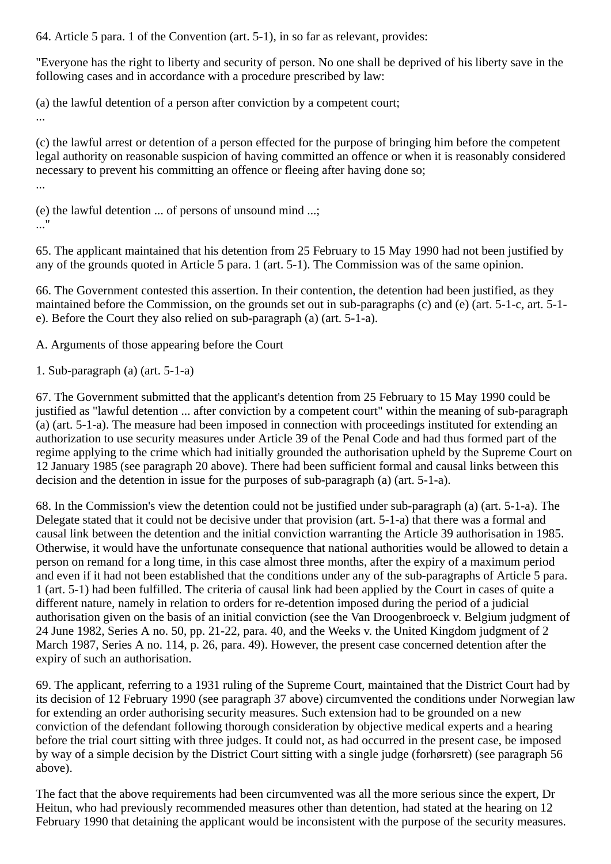64. Article 5 para. 1 of the Convention (art. 5-1), in so far as relevant, provides:

"Everyone has the right to liberty and security of person. No one shall be deprived of his liberty save in the following cases and in accordance with a procedure prescribed by law:

(a) the lawful detention of a person after conviction by a competent court; ...

(c) the lawful arrest or detention of a person effected for the purpose of bringing him before the competent legal authority on reasonable suspicion of having committed an offence or when it is reasonably considered necessary to prevent his committing an offence or fleeing after having done so; ...

(e) the lawful detention ... of persons of unsound mind ...; ..."

65. The applicant maintained that his detention from 25 February to 15 May 1990 had not been justified by any of the grounds quoted in Article 5 para. 1 (art. 5-1). The Commission was of the same opinion.

66. The Government contested this assertion. In their contention, the detention had been justified, as they maintained before the Commission, on the grounds set out in sub-paragraphs (c) and (e) (art. 5-1-c, art. 5-1 e). Before the Court they also relied on sub-paragraph (a) (art. 5-1-a).

A. Arguments of those appearing before the Court

1. Sub-paragraph (a) (art. 5-1-a)

67. The Government submitted that the applicant's detention from 25 February to 15 May 1990 could be justified as "lawful detention ... after conviction by a competent court" within the meaning of sub-paragraph (a) (art. 5-1-a). The measure had been imposed in connection with proceedings instituted for extending an authorization to use security measures under Article 39 of the Penal Code and had thus formed part of the regime applying to the crime which had initially grounded the authorisation upheld by the Supreme Court on 12 January 1985 (see paragraph 20 above). There had been sufficient formal and causal links between this decision and the detention in issue for the purposes of sub-paragraph (a) (art. 5-1-a).

68. In the Commission's view the detention could not be justified under sub-paragraph (a) (art. 5-1-a). The Delegate stated that it could not be decisive under that provision (art. 5-1-a) that there was a formal and causal link between the detention and the initial conviction warranting the Article 39 authorisation in 1985. Otherwise, it would have the unfortunate consequence that national authorities would be allowed to detain a person on remand for a long time, in this case almost three months, after the expiry of a maximum period and even if it had not been established that the conditions under any of the sub-paragraphs of Article 5 para. 1 (art. 5-1) had been fulfilled. The criteria of causal link had been applied by the Court in cases of quite a different nature, namely in relation to orders for re-detention imposed during the period of a judicial authorisation given on the basis of an initial conviction (see the Van Droogenbroeck v. Belgium judgment of 24 June 1982, Series A no. 50, pp. 21-22, para. 40, and the Weeks v. the United Kingdom judgment of 2 March 1987, Series A no. 114, p. 26, para. 49). However, the present case concerned detention after the expiry of such an authorisation.

69. The applicant, referring to a 1931 ruling of the Supreme Court, maintained that the District Court had by its decision of 12 February 1990 (see paragraph 37 above) circumvented the conditions under Norwegian law for extending an order authorising security measures. Such extension had to be grounded on a new conviction of the defendant following thorough consideration by objective medical experts and a hearing before the trial court sitting with three judges. It could not, as had occurred in the present case, be imposed by way of a simple decision by the District Court sitting with a single judge (forhørsrett) (see paragraph 56 above).

The fact that the above requirements had been circumvented was all the more serious since the expert, Dr Heitun, who had previously recommended measures other than detention, had stated at the hearing on 12 February 1990 that detaining the applicant would be inconsistent with the purpose of the security measures.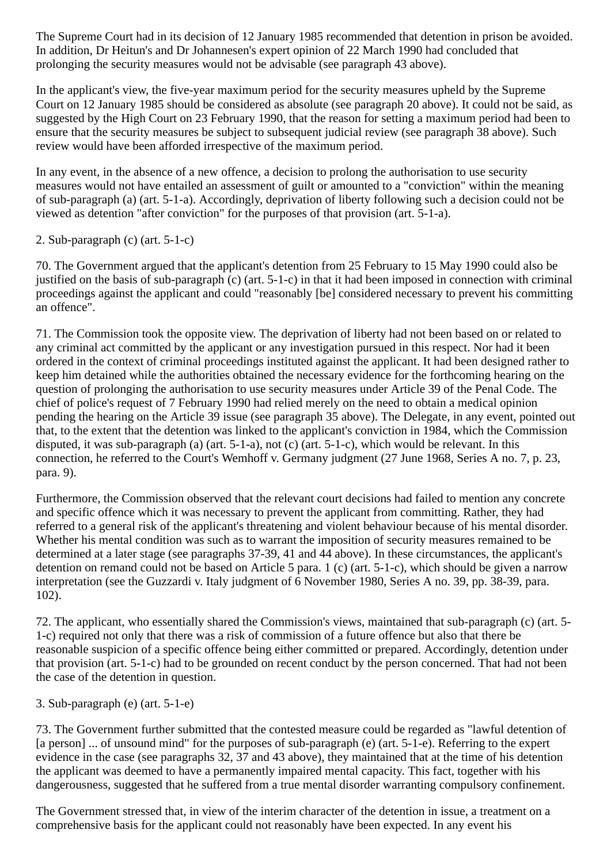The Supreme Court had in its decision of 12 January 1985 recommended that detention in prison be avoided. In addition, Dr Heitun's and Dr Johannesen's expert opinion of 22 March 1990 had concluded that prolonging the security measures would not be advisable (see paragraph 43 above).

In the applicant's view, the five-year maximum period for the security measures upheld by the Supreme Court on 12 January 1985 should be considered as absolute (see paragraph 20 above). It could not be said, as suggested by the High Court on 23 February 1990, that the reason for setting a maximum period had been to ensure that the security measures be subject to subsequent judicial review (see paragraph 38 above). Such review would have been afforded irrespective of the maximum period.

In any event, in the absence of a new offence, a decision to prolong the authorisation to use security measures would not have entailed an assessment of guilt or amounted to a "conviction" within the meaning of sub-paragraph (a) (art. 5-1-a). Accordingly, deprivation of liberty following such a decision could not be viewed as detention "after conviction" for the purposes of that provision (art. 5-1-a).

2. Sub-paragraph (c) (art. 5-1-c)

70. The Government argued that the applicant's detention from 25 February to 15 May 1990 could also be justified on the basis of sub-paragraph (c) (art. 5-1-c) in that it had been imposed in connection with criminal proceedings against the applicant and could "reasonably [be] considered necessary to prevent his committing an offence".

71. The Commission took the opposite view. The deprivation of liberty had not been based on or related to any criminal act committed by the applicant or any investigation pursued in this respect. Nor had it been ordered in the context of criminal proceedings instituted against the applicant. It had been designed rather to keep him detained while the authorities obtained the necessary evidence for the forthcoming hearing on the question of prolonging the authorisation to use security measures under Article 39 of the Penal Code. The chief of police's request of 7 February 1990 had relied merely on the need to obtain a medical opinion pending the hearing on the Article 39 issue (see paragraph 35 above). The Delegate, in any event, pointed out that, to the extent that the detention was linked to the applicant's conviction in 1984, which the Commission disputed, it was sub-paragraph (a) (art. 5-1-a), not (c) (art. 5-1-c), which would be relevant. In this connection, he referred to the Court's Wemhoff v. Germany judgment (27 June 1968, Series A no. 7, p. 23, para. 9).

Furthermore, the Commission observed that the relevant court decisions had failed to mention any concrete and specific offence which it was necessary to prevent the applicant from committing. Rather, they had referred to a general risk of the applicant's threatening and violent behaviour because of his mental disorder. Whether his mental condition was such as to warrant the imposition of security measures remained to be determined at a later stage (see paragraphs 37-39, 41 and 44 above). In these circumstances, the applicant's detention on remand could not be based on Article 5 para. 1 (c) (art. 5-1-c), which should be given a narrow interpretation (see the Guzzardi v. Italy judgment of 6 November 1980, Series A no. 39, pp. 38-39, para. 102).

72. The applicant, who essentially shared the Commission's views, maintained that sub-paragraph (c) (art. 5- 1-c) required not only that there was a risk of commission of a future offence but also that there be reasonable suspicion of a specific offence being either committed or prepared. Accordingly, detention under that provision (art. 5-1-c) had to be grounded on recent conduct by the person concerned. That had not been the case of the detention in question.

3. Sub-paragraph (e) (art. 5-1-e)

73. The Government further submitted that the contested measure could be regarded as "lawful detention of [a person] ... of unsound mind" for the purposes of sub-paragraph (e) (art. 5-1-e). Referring to the expert evidence in the case (see paragraphs 32, 37 and 43 above), they maintained that at the time of his detention the applicant was deemed to have a permanently impaired mental capacity. This fact, together with his dangerousness, suggested that he suffered from a true mental disorder warranting compulsory confinement.

The Government stressed that, in view of the interim character of the detention in issue, a treatment on a comprehensive basis for the applicant could not reasonably have been expected. In any event his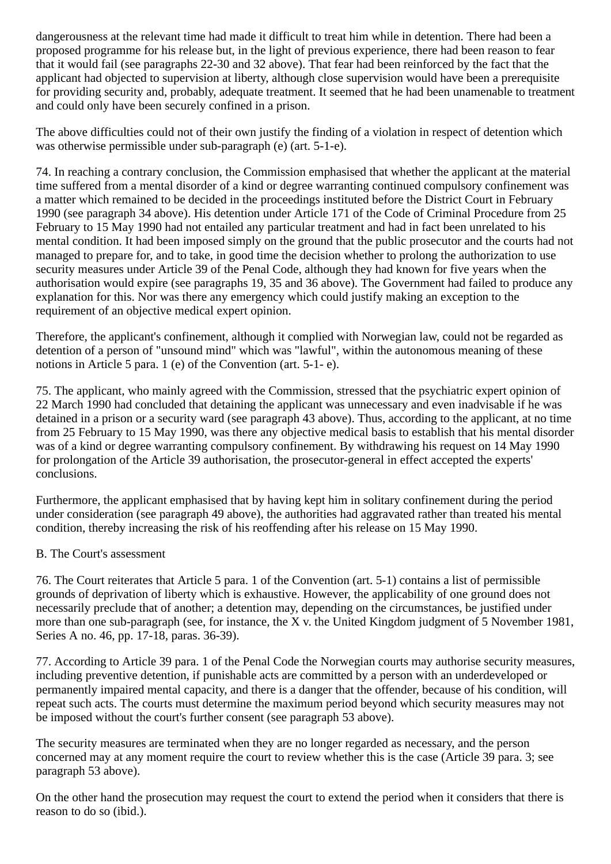dangerousness at the relevant time had made it difficult to treat him while in detention. There had been a proposed programme for his release but, in the light of previous experience, there had been reason to fear that it would fail (see paragraphs 22-30 and 32 above). That fear had been reinforced by the fact that the applicant had objected to supervision at liberty, although close supervision would have been a prerequisite for providing security and, probably, adequate treatment. It seemed that he had been unamenable to treatment and could only have been securely confined in a prison.

The above difficulties could not of their own justify the finding of a violation in respect of detention which was otherwise permissible under sub-paragraph (e) (art. 5-1-e).

74. In reaching a contrary conclusion, the Commission emphasised that whether the applicant at the material time suffered from a mental disorder of a kind or degree warranting continued compulsory confinement was a matter which remained to be decided in the proceedings instituted before the District Court in February 1990 (see paragraph 34 above). His detention under Article 171 of the Code of Criminal Procedure from 25 February to 15 May 1990 had not entailed any particular treatment and had in fact been unrelated to his mental condition. It had been imposed simply on the ground that the public prosecutor and the courts had not managed to prepare for, and to take, in good time the decision whether to prolong the authorization to use security measures under Article 39 of the Penal Code, although they had known for five years when the authorisation would expire (see paragraphs 19, 35 and 36 above). The Government had failed to produce any explanation for this. Nor was there any emergency which could justify making an exception to the requirement of an objective medical expert opinion.

Therefore, the applicant's confinement, although it complied with Norwegian law, could not be regarded as detention of a person of "unsound mind" which was "lawful", within the autonomous meaning of these notions in Article 5 para. 1 (e) of the Convention (art. 5-1- e).

75. The applicant, who mainly agreed with the Commission, stressed that the psychiatric expert opinion of 22 March 1990 had concluded that detaining the applicant was unnecessary and even inadvisable if he was detained in a prison or a security ward (see paragraph 43 above). Thus, according to the applicant, at no time from 25 February to 15 May 1990, was there any objective medical basis to establish that his mental disorder was of a kind or degree warranting compulsory confinement. By withdrawing his request on 14 May 1990 for prolongation of the Article 39 authorisation, the prosecutor-general in effect accepted the experts' conclusions.

Furthermore, the applicant emphasised that by having kept him in solitary confinement during the period under consideration (see paragraph 49 above), the authorities had aggravated rather than treated his mental condition, thereby increasing the risk of his reoffending after his release on 15 May 1990.

#### B. The Court's assessment

76. The Court reiterates that Article 5 para. 1 of the Convention (art. 5-1) contains a list of permissible grounds of deprivation of liberty which is exhaustive. However, the applicability of one ground does not necessarily preclude that of another; a detention may, depending on the circumstances, be justified under more than one sub-paragraph (see, for instance, the X v. the United Kingdom judgment of 5 November 1981, Series A no. 46, pp. 17-18, paras. 36-39).

77. According to Article 39 para. 1 of the Penal Code the Norwegian courts may authorise security measures, including preventive detention, if punishable acts are committed by a person with an underdeveloped or permanently impaired mental capacity, and there is a danger that the offender, because of his condition, will repeat such acts. The courts must determine the maximum period beyond which security measures may not be imposed without the court's further consent (see paragraph 53 above).

The security measures are terminated when they are no longer regarded as necessary, and the person concerned may at any moment require the court to review whether this is the case (Article 39 para. 3; see paragraph 53 above).

On the other hand the prosecution may request the court to extend the period when it considers that there is reason to do so (ibid.).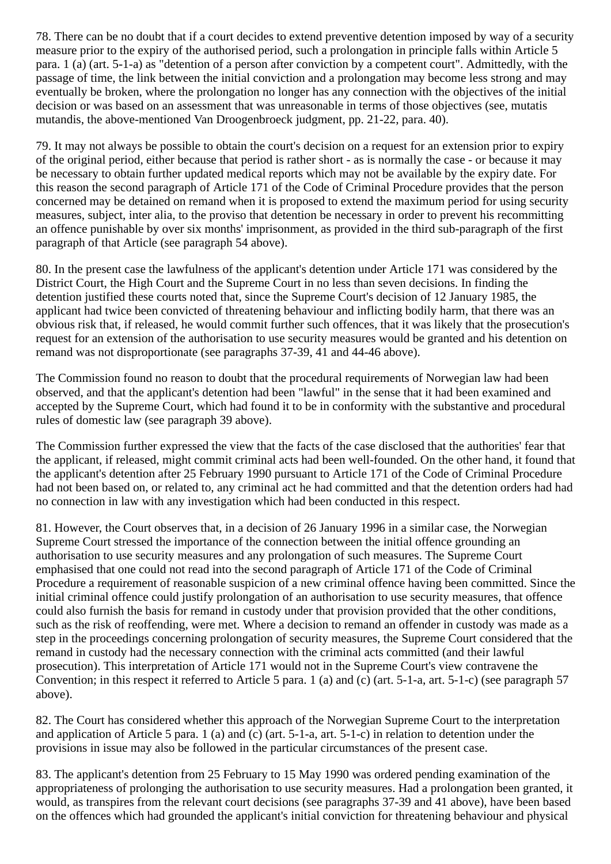78. There can be no doubt that if a court decides to extend preventive detention imposed by way of a security measure prior to the expiry of the authorised period, such a prolongation in principle falls within Article 5 para. 1 (a) (art. 5-1-a) as "detention of a person after conviction by a competent court". Admittedly, with the passage of time, the link between the initial conviction and a prolongation may become less strong and may eventually be broken, where the prolongation no longer has any connection with the objectives of the initial decision or was based on an assessment that was unreasonable in terms of those objectives (see, mutatis mutandis, the above-mentioned Van Droogenbroeck judgment, pp. 21-22, para. 40).

79. It may not always be possible to obtain the court's decision on a request for an extension prior to expiry of the original period, either because that period is rather short - as is normally the case - or because it may be necessary to obtain further updated medical reports which may not be available by the expiry date. For this reason the second paragraph of Article 171 of the Code of Criminal Procedure provides that the person concerned may be detained on remand when it is proposed to extend the maximum period for using security measures, subject, inter alia, to the proviso that detention be necessary in order to prevent his recommitting an offence punishable by over six months' imprisonment, as provided in the third sub-paragraph of the first paragraph of that Article (see paragraph 54 above).

80. In the present case the lawfulness of the applicant's detention under Article 171 was considered by the District Court, the High Court and the Supreme Court in no less than seven decisions. In finding the detention justified these courts noted that, since the Supreme Court's decision of 12 January 1985, the applicant had twice been convicted of threatening behaviour and inflicting bodily harm, that there was an obvious risk that, if released, he would commit further such offences, that it was likely that the prosecution's request for an extension of the authorisation to use security measures would be granted and his detention on remand was not disproportionate (see paragraphs 37-39, 41 and 44-46 above).

The Commission found no reason to doubt that the procedural requirements of Norwegian law had been observed, and that the applicant's detention had been "lawful" in the sense that it had been examined and accepted by the Supreme Court, which had found it to be in conformity with the substantive and procedural rules of domestic law (see paragraph 39 above).

The Commission further expressed the view that the facts of the case disclosed that the authorities' fear that the applicant, if released, might commit criminal acts had been well-founded. On the other hand, it found that the applicant's detention after 25 February 1990 pursuant to Article 171 of the Code of Criminal Procedure had not been based on, or related to, any criminal act he had committed and that the detention orders had had no connection in law with any investigation which had been conducted in this respect.

81. However, the Court observes that, in a decision of 26 January 1996 in a similar case, the Norwegian Supreme Court stressed the importance of the connection between the initial offence grounding an authorisation to use security measures and any prolongation of such measures. The Supreme Court emphasised that one could not read into the second paragraph of Article 171 of the Code of Criminal Procedure a requirement of reasonable suspicion of a new criminal offence having been committed. Since the initial criminal offence could justify prolongation of an authorisation to use security measures, that offence could also furnish the basis for remand in custody under that provision provided that the other conditions, such as the risk of reoffending, were met. Where a decision to remand an offender in custody was made as a step in the proceedings concerning prolongation of security measures, the Supreme Court considered that the remand in custody had the necessary connection with the criminal acts committed (and their lawful prosecution). This interpretation of Article 171 would not in the Supreme Court's view contravene the Convention; in this respect it referred to Article 5 para. 1 (a) and (c) (art. 5-1-a, art. 5-1-c) (see paragraph 57 above).

82. The Court has considered whether this approach of the Norwegian Supreme Court to the interpretation and application of Article 5 para. 1 (a) and (c) (art. 5-1-a, art. 5-1-c) in relation to detention under the provisions in issue may also be followed in the particular circumstances of the present case.

83. The applicant's detention from 25 February to 15 May 1990 was ordered pending examination of the appropriateness of prolonging the authorisation to use security measures. Had a prolongation been granted, it would, as transpires from the relevant court decisions (see paragraphs 37-39 and 41 above), have been based on the offences which had grounded the applicant's initial conviction for threatening behaviour and physical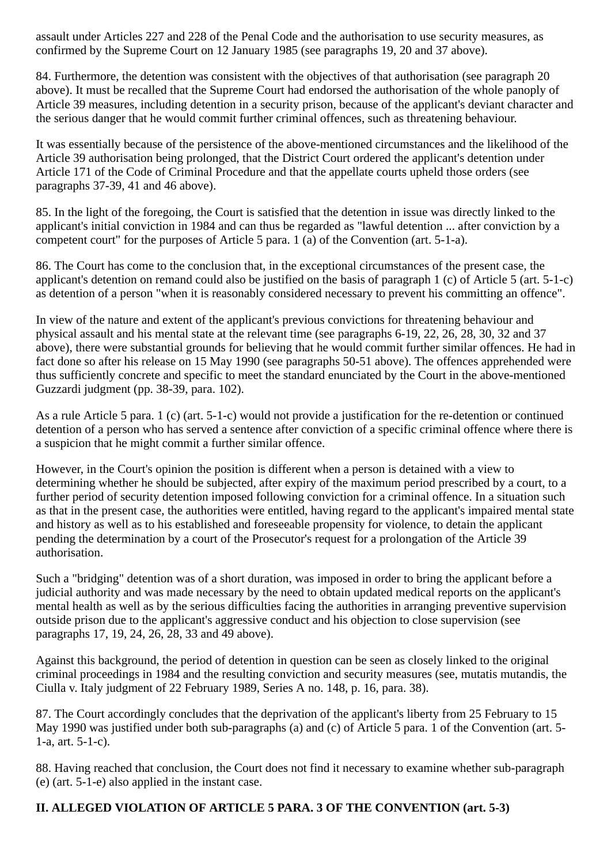assault under Articles 227 and 228 of the Penal Code and the authorisation to use security measures, as confirmed by the Supreme Court on 12 January 1985 (see paragraphs 19, 20 and 37 above).

84. Furthermore, the detention was consistent with the objectives of that authorisation (see paragraph 20 above). It must be recalled that the Supreme Court had endorsed the authorisation of the whole panoply of Article 39 measures, including detention in a security prison, because of the applicant's deviant character and the serious danger that he would commit further criminal offences, such as threatening behaviour.

It was essentially because of the persistence of the above-mentioned circumstances and the likelihood of the Article 39 authorisation being prolonged, that the District Court ordered the applicant's detention under Article 171 of the Code of Criminal Procedure and that the appellate courts upheld those orders (see paragraphs 37-39, 41 and 46 above).

85. In the light of the foregoing, the Court is satisfied that the detention in issue was directly linked to the applicant's initial conviction in 1984 and can thus be regarded as "lawful detention ... after conviction by a competent court" for the purposes of Article 5 para. 1 (a) of the Convention (art. 5-1-a).

86. The Court has come to the conclusion that, in the exceptional circumstances of the present case, the applicant's detention on remand could also be justified on the basis of paragraph 1 (c) of Article 5 (art. 5-1-c) as detention of a person "when it is reasonably considered necessary to prevent his committing an offence".

In view of the nature and extent of the applicant's previous convictions for threatening behaviour and physical assault and his mental state at the relevant time (see paragraphs 6-19, 22, 26, 28, 30, 32 and 37 above), there were substantial grounds for believing that he would commit further similar offences. He had in fact done so after his release on 15 May 1990 (see paragraphs 50-51 above). The offences apprehended were thus sufficiently concrete and specific to meet the standard enunciated by the Court in the above-mentioned Guzzardi judgment (pp. 38-39, para. 102).

As a rule Article 5 para. 1 (c) (art. 5-1-c) would not provide a justification for the re-detention or continued detention of a person who has served a sentence after conviction of a specific criminal offence where there is a suspicion that he might commit a further similar offence.

However, in the Court's opinion the position is different when a person is detained with a view to determining whether he should be subjected, after expiry of the maximum period prescribed by a court, to a further period of security detention imposed following conviction for a criminal offence. In a situation such as that in the present case, the authorities were entitled, having regard to the applicant's impaired mental state and history as well as to his established and foreseeable propensity for violence, to detain the applicant pending the determination by a court of the Prosecutor's request for a prolongation of the Article 39 authorisation.

Such a "bridging" detention was of a short duration, was imposed in order to bring the applicant before a judicial authority and was made necessary by the need to obtain updated medical reports on the applicant's mental health as well as by the serious difficulties facing the authorities in arranging preventive supervision outside prison due to the applicant's aggressive conduct and his objection to close supervision (see paragraphs 17, 19, 24, 26, 28, 33 and 49 above).

Against this background, the period of detention in question can be seen as closely linked to the original criminal proceedings in 1984 and the resulting conviction and security measures (see, mutatis mutandis, the Ciulla v. Italy judgment of 22 February 1989, Series A no. 148, p. 16, para. 38).

87. The Court accordingly concludes that the deprivation of the applicant's liberty from 25 February to 15 May 1990 was justified under both sub-paragraphs (a) and (c) of Article 5 para. 1 of the Convention (art. 5- 1-a, art. 5-1-c).

88. Having reached that conclusion, the Court does not find it necessary to examine whether sub-paragraph (e) (art. 5-1-e) also applied in the instant case.

## **II. ALLEGED VIOLATION OF ARTICLE 5 PARA. 3 OF THE CONVENTION (art. 5-3)**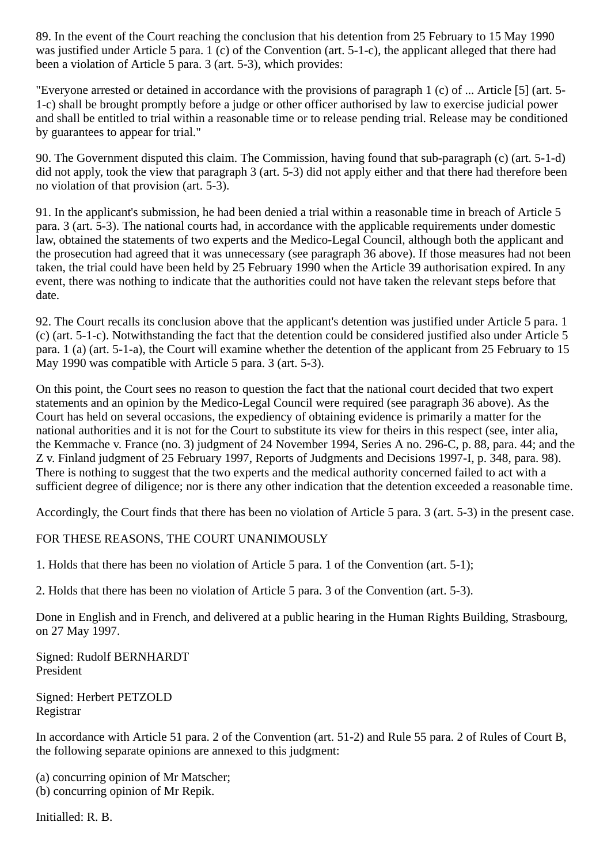89. In the event of the Court reaching the conclusion that his detention from 25 February to 15 May 1990 was justified under Article 5 para. 1 (c) of the Convention (art. 5-1-c), the applicant alleged that there had been a violation of Article 5 para. 3 (art. 5-3), which provides:

"Everyone arrested or detained in accordance with the provisions of paragraph 1 (c) of ... Article [5] (art. 5- 1-c) shall be brought promptly before a judge or other officer authorised by law to exercise judicial power and shall be entitled to trial within a reasonable time or to release pending trial. Release may be conditioned by guarantees to appear for trial."

90. The Government disputed this claim. The Commission, having found that sub-paragraph (c) (art. 5-1-d) did not apply, took the view that paragraph 3 (art. 5-3) did not apply either and that there had therefore been no violation of that provision (art. 5-3).

91. In the applicant's submission, he had been denied a trial within a reasonable time in breach of Article 5 para. 3 (art. 5-3). The national courts had, in accordance with the applicable requirements under domestic law, obtained the statements of two experts and the Medico-Legal Council, although both the applicant and the prosecution had agreed that it was unnecessary (see paragraph 36 above). If those measures had not been taken, the trial could have been held by 25 February 1990 when the Article 39 authorisation expired. In any event, there was nothing to indicate that the authorities could not have taken the relevant steps before that date.

92. The Court recalls its conclusion above that the applicant's detention was justified under Article 5 para. 1 (c) (art. 5-1-c). Notwithstanding the fact that the detention could be considered justified also under Article 5 para. 1 (a) (art. 5-1-a), the Court will examine whether the detention of the applicant from 25 February to 15 May 1990 was compatible with Article 5 para. 3 (art. 5-3).

On this point, the Court sees no reason to question the fact that the national court decided that two expert statements and an opinion by the Medico-Legal Council were required (see paragraph 36 above). As the Court has held on several occasions, the expediency of obtaining evidence is primarily a matter for the national authorities and it is not for the Court to substitute its view for theirs in this respect (see, inter alia, the Kemmache v. France (no. 3) judgment of 24 November 1994, Series A no. 296-C, p. 88, para. 44; and the Z v. Finland judgment of 25 February 1997, Reports of Judgments and Decisions 1997-I, p. 348, para. 98). There is nothing to suggest that the two experts and the medical authority concerned failed to act with a sufficient degree of diligence; nor is there any other indication that the detention exceeded a reasonable time.

Accordingly, the Court finds that there has been no violation of Article 5 para. 3 (art. 5-3) in the present case.

FOR THESE REASONS, THE COURT UNANIMOUSLY

1. Holds that there has been no violation of Article 5 para. 1 of the Convention (art. 5-1);

2. Holds that there has been no violation of Article 5 para. 3 of the Convention (art. 5-3).

Done in English and in French, and delivered at a public hearing in the Human Rights Building, Strasbourg, on 27 May 1997.

Signed: Rudolf BERNHARDT President

Signed: Herbert PETZOLD Registrar

In accordance with Article 51 para. 2 of the Convention (art. 51-2) and Rule 55 para. 2 of Rules of Court B, the following separate opinions are annexed to this judgment:

(a) concurring opinion of Mr Matscher; (b) concurring opinion of Mr Repik.

Initialled: R. B.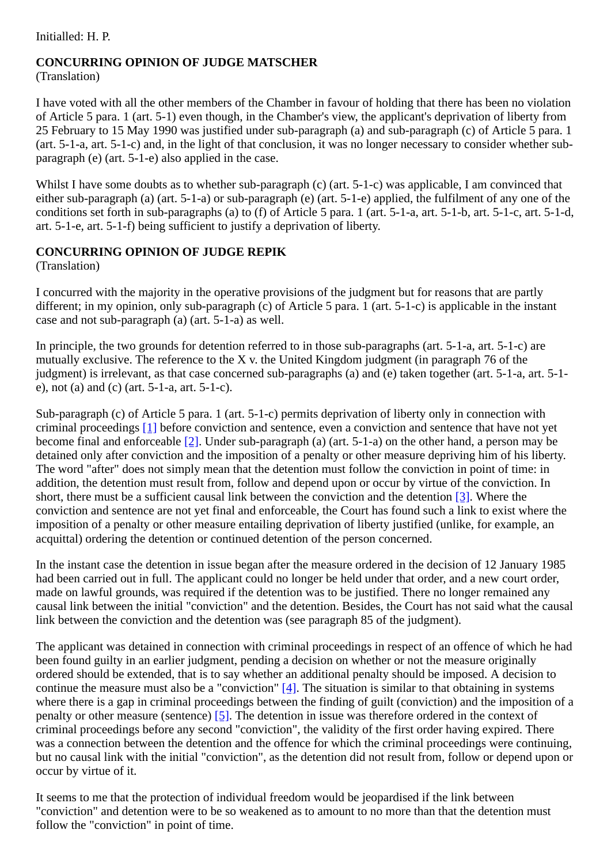Initialled: H. P.

#### **CONCURRING OPINION OF JUDGE MATSCHER** (Translation)

I have voted with all the other members of the Chamber in favour of holding that there has been no violation of Article 5 para. 1 (art. 5-1) even though, in the Chamber's view, the applicant's deprivation of liberty from 25 February to 15 May 1990 was justified under sub-paragraph (a) and sub-paragraph (c) of Article 5 para. 1 (art. 5-1-a, art. 5-1-c) and, in the light of that conclusion, it was no longer necessary to consider whether subparagraph (e) (art. 5-1-e) also applied in the case.

Whilst I have some doubts as to whether sub-paragraph (c) (art. 5-1-c) was applicable, I am convinced that either sub-paragraph (a) (art. 5-1-a) or sub-paragraph (e) (art. 5-1-e) applied, the fulfilment of any one of the conditions set forth in sub-paragraphs (a) to (f) of Article 5 para. 1 (art. 5-1-a, art. 5-1-b, art. 5-1-c, art. 5-1-d, art. 5-1-e, art. 5-1-f) being sufficient to justify a deprivation of liberty.

## **CONCURRING OPINION OF JUDGE REPIK**

(Translation)

I concurred with the majority in the operative provisions of the judgment but for reasons that are partly different; in my opinion, only sub-paragraph (c) of Article 5 para. 1 (art. 5-1-c) is applicable in the instant case and not sub-paragraph (a) (art. 5-1-a) as well.

In principle, the two grounds for detention referred to in those sub-paragraphs (art. 5-1-a, art. 5-1-c) are mutually exclusive. The reference to the X v. the United Kingdom judgment (in paragraph 76 of the judgment) is irrelevant, as that case concerned sub-paragraphs (a) and (e) taken together (art. 5-1-a, art. 5-1 e), not (a) and (c) (art. 5-1-a, art. 5-1-c).

Sub-paragraph (c) of Article 5 para. 1 (art. 5-1-c) permits deprivation of liberty only in connection with criminal proceedings [\[1\]](#page-20-3) before conviction and sentence, even a conviction and sentence that have not yet become final and enforceable [\[2\]](#page-20-4). Under sub-paragraph (a) (art. 5-1-a) on the other hand, a person may be detained only after conviction and the imposition of a penalty or other measure depriving him of his liberty. The word "after" does not simply mean that the detention must follow the conviction in point of time: in addition, the detention must result from, follow and depend upon or occur by virtue of the conviction. In short, there must be a sufficient causal link between the conviction and the detention [\[3\].](#page-20-5) Where the conviction and sentence are not yet final and enforceable, the Court has found such a link to exist where the imposition of a penalty or other measure entailing deprivation of liberty justified (unlike, for example, an acquittal) ordering the detention or continued detention of the person concerned.

In the instant case the detention in issue began after the measure ordered in the decision of 12 January 1985 had been carried out in full. The applicant could no longer be held under that order, and a new court order, made on lawful grounds, was required if the detention was to be justified. There no longer remained any causal link between the initial "conviction" and the detention. Besides, the Court has not said what the causal link between the conviction and the detention was (see paragraph 85 of the judgment).

The applicant was detained in connection with criminal proceedings in respect of an offence of which he had been found guilty in an earlier judgment, pending a decision on whether or not the measure originally ordered should be extended, that is to say whether an additional penalty should be imposed. A decision to continue the measure must also be a "conviction"  $[4]$ . The situation is similar to that obtaining in systems where there is a gap in criminal proceedings between the finding of guilt (conviction) and the imposition of a penalty or other measure (sentence) [\[5\]](#page-20-7). The detention in issue was therefore ordered in the context of criminal proceedings before any second "conviction", the validity of the first order having expired. There was a connection between the detention and the offence for which the criminal proceedings were continuing, but no causal link with the initial "conviction", as the detention did not result from, follow or depend upon or occur by virtue of it.

It seems to me that the protection of individual freedom would be jeopardised if the link between "conviction" and detention were to be so weakened as to amount to no more than that the detention must follow the "conviction" in point of time.